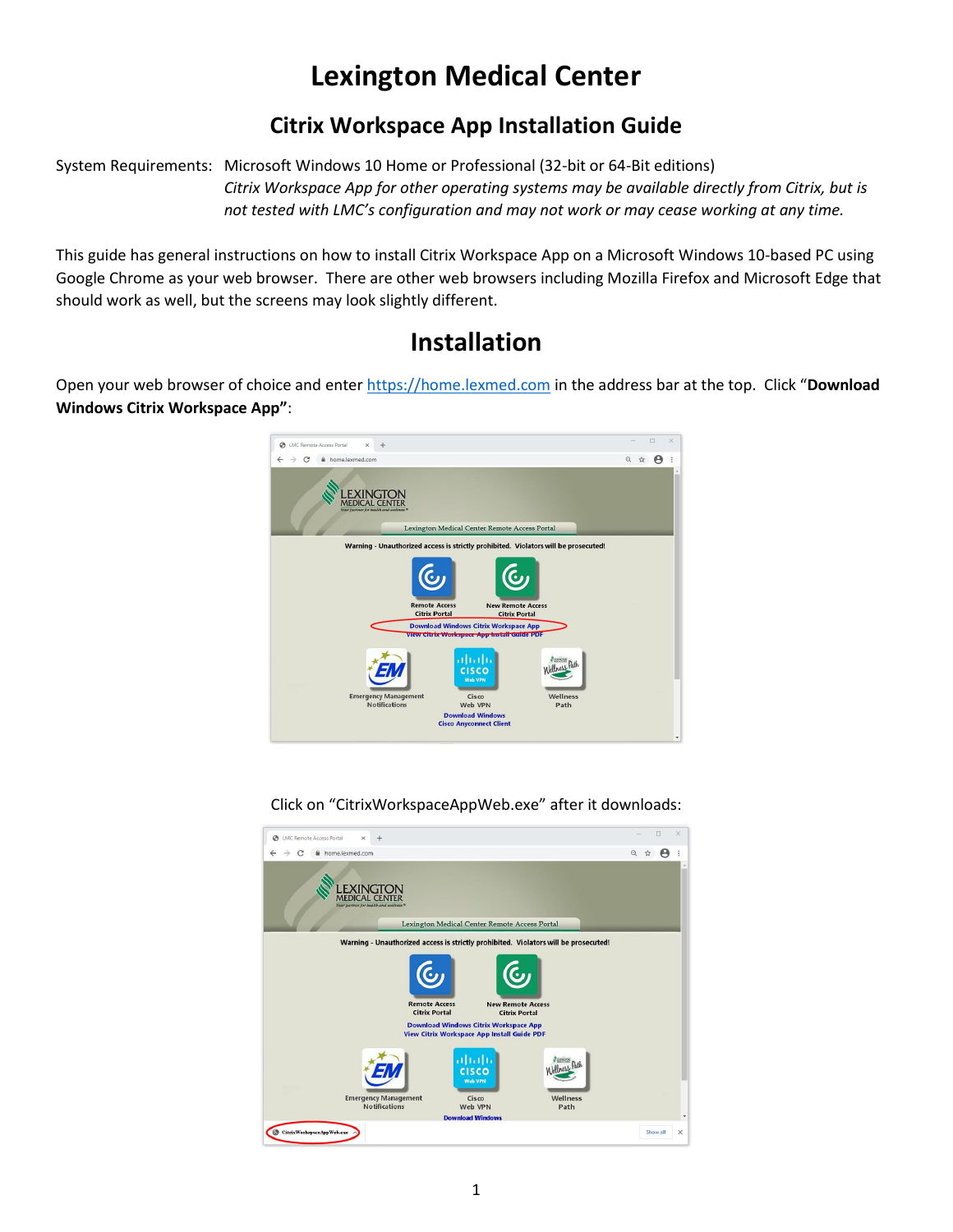# **Lexington Medical Center**

### **Citrix Workspace App Installation Guide**

System Requirements: Microsoft Windows 10 Home or Professional (32-bit or 64-Bit editions)

*Citrix Workspace App for other operating systems may be available directly from Citrix, but is not tested with LMC's configuration and may not work or may cease working at any time.*

This guide has general instructions on how to install Citrix Workspace App on a Microsoft Windows 10-based PC using Google Chrome as your web browser. There are other web browsers including Mozilla Firefox and Microsoft Edge that should work as well, but the screens may look slightly different.

## **Installation**

Open your web browser of choice and ente[r https://home.lexmed.com](https://home.lexmed.com/) in the address bar at the top. Click "**Download Windows Citrix Workspace App"**:



Click on "CitrixWorkspaceAppWeb.exe" after it downloads:

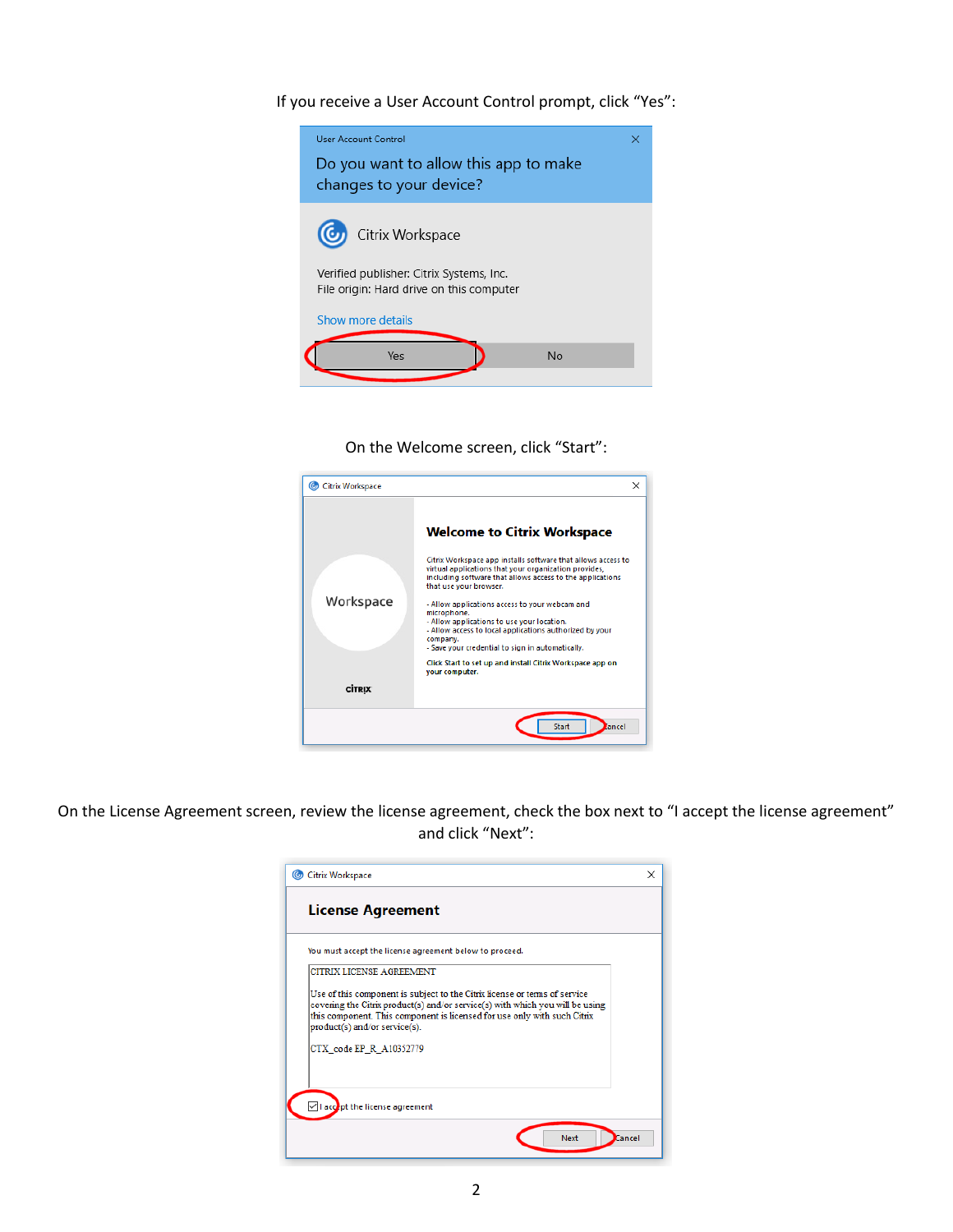If you receive a User Account Control prompt, click "Yes":



On the Welcome screen, click "Start":

| <b>Citrix Workspace</b> | $\times$                                                                                                                                                                                                                               |
|-------------------------|----------------------------------------------------------------------------------------------------------------------------------------------------------------------------------------------------------------------------------------|
|                         | <b>Welcome to Citrix Workspace</b>                                                                                                                                                                                                     |
|                         | Citrix Workspace app installs software that allows access to<br>virtual applications that your organization provides,<br>including software that allows access to the applications<br>that use your browser.                           |
| Workspace               | - Allow applications access to your webcam and<br>microphone.<br>- Allow applications to use your location.<br>- Allow access to local applications authorized by your<br>company.<br>- Save your credential to sign in automatically. |
|                         | Click Start to set up and install Citrix Workspace app on<br>your computer.                                                                                                                                                            |
| <b>CİTRIX</b>           |                                                                                                                                                                                                                                        |
|                         | Start<br>tancel                                                                                                                                                                                                                        |

On the License Agreement screen, review the license agreement, check the box next to "I accept the license agreement" and click "Next":

| You must accept the license agreement below to proceed.                                                                                                                                                                                                                  |  |
|--------------------------------------------------------------------------------------------------------------------------------------------------------------------------------------------------------------------------------------------------------------------------|--|
| CITRIX LICENSE AGREEMENT                                                                                                                                                                                                                                                 |  |
| Use of this component is subject to the Citrix license or terms of service<br>covering the Citrix product(s) and/or service(s) with which you will be using<br>this component. This component is licensed for use only with such Citrix<br>product(s) and/or service(s). |  |
| CTX code EP R A10352779                                                                                                                                                                                                                                                  |  |
| I accept the license agreement                                                                                                                                                                                                                                           |  |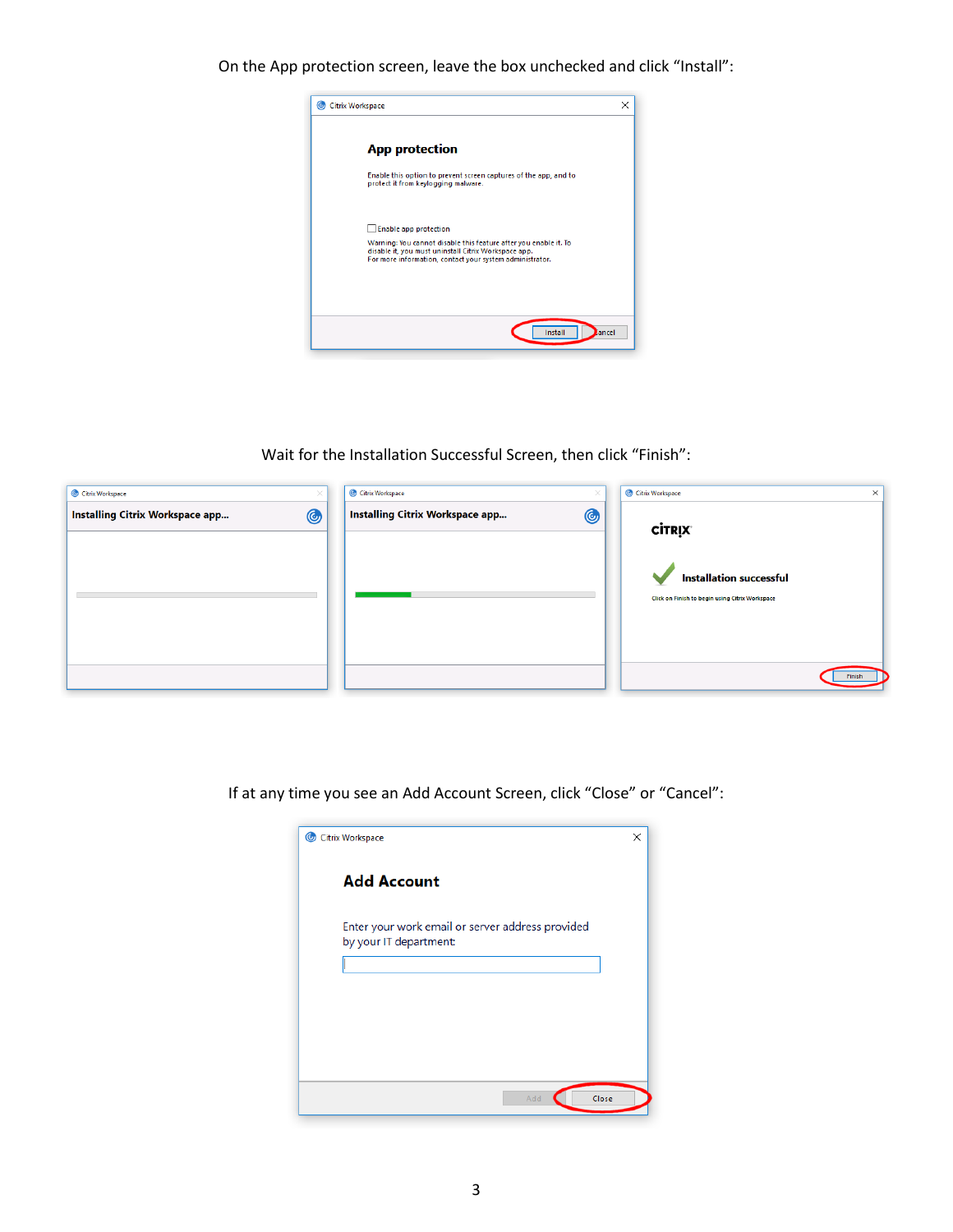On the App protection screen, leave the box unchecked and click "Install":



Wait for the Installation Successful Screen, then click "Finish":



If at any time you see an Add Account Screen, click "Close" or "Cancel":

| Citrix Workspace                                                           | × |
|----------------------------------------------------------------------------|---|
| <b>Add Account</b>                                                         |   |
| Enter your work email or server address provided<br>by your IT department: |   |
|                                                                            |   |
|                                                                            |   |
|                                                                            |   |
| Add<br>Close                                                               |   |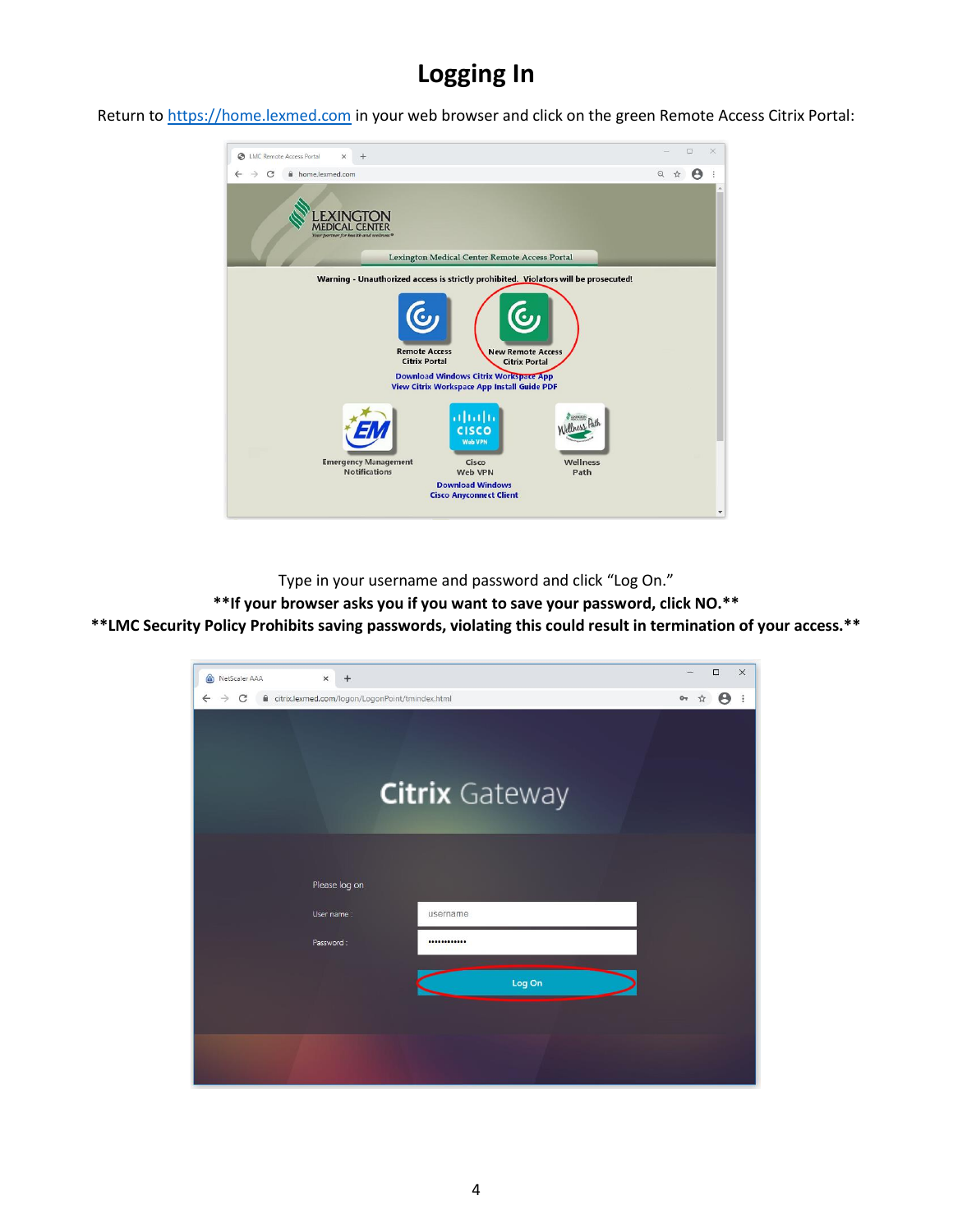### **Logging In**

Return to [https://home.lexmed.com](https://home.lexmed.com/) in your web browser and click on the green Remote Access Citrix Portal:



Type in your username and password and click "Log On."

**\*\*If your browser asks you if you want to save your password, click NO.\*\***

**\*\*LMC Security Policy Prohibits saving passwords, violating this could result in termination of your access.\*\***

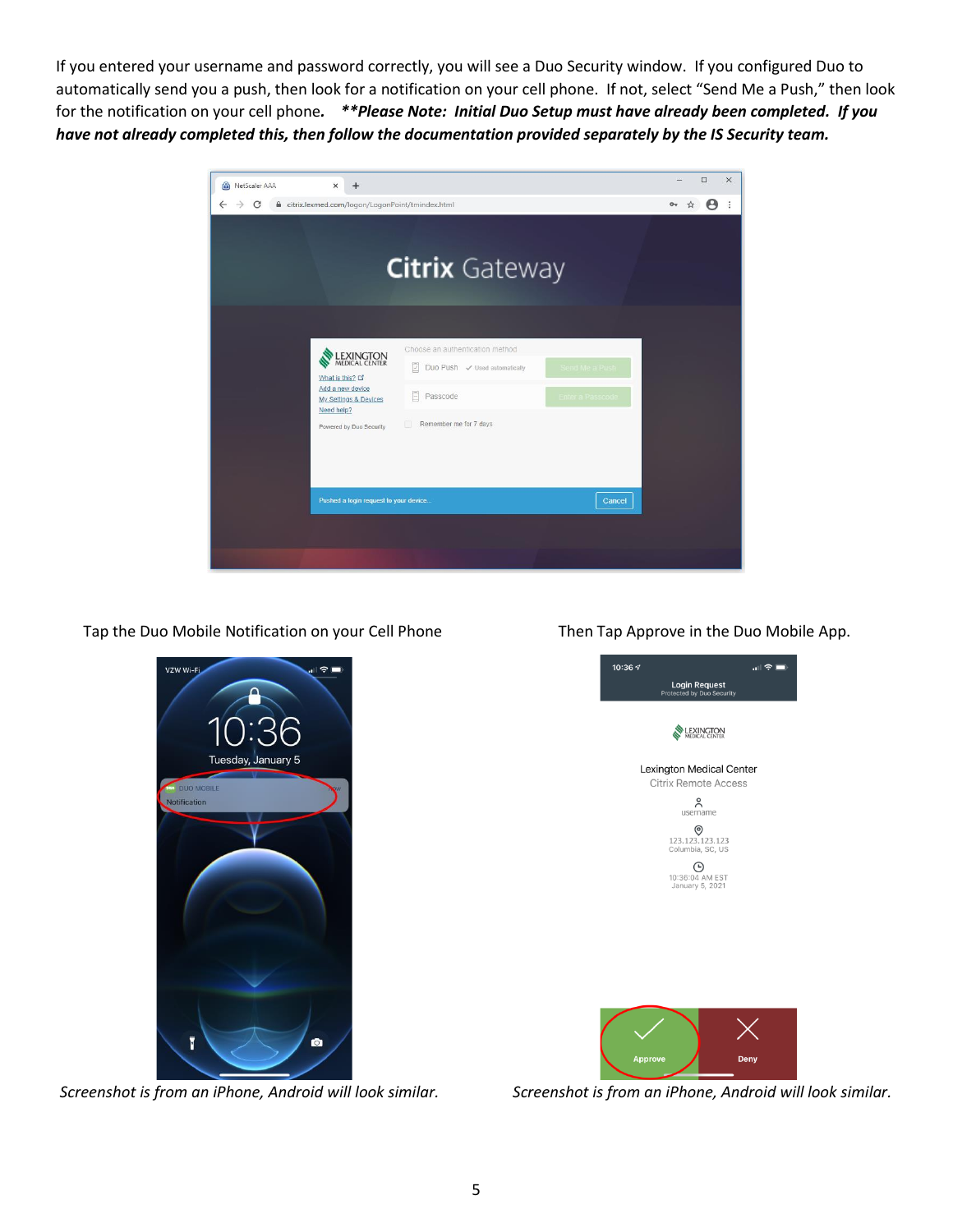If you entered your username and password correctly, you will see a Duo Security window. If you configured Duo to automatically send you a push, then look for a notification on your cell phone. If not, select "Send Me a Push," then look for the notification on your cell phone*. \*\*Please Note: Initial Duo Setup must have already been completed. If you have not already completed this, then follow the documentation provided separately by the IS Security team.*



Tap the Duo Mobile Notification on your Cell Phone Then Tap Approve in the Duo Mobile App.



*Screenshot is from an iPhone, Android will look similar. Screenshot is from an iPhone, Android will look similar.*

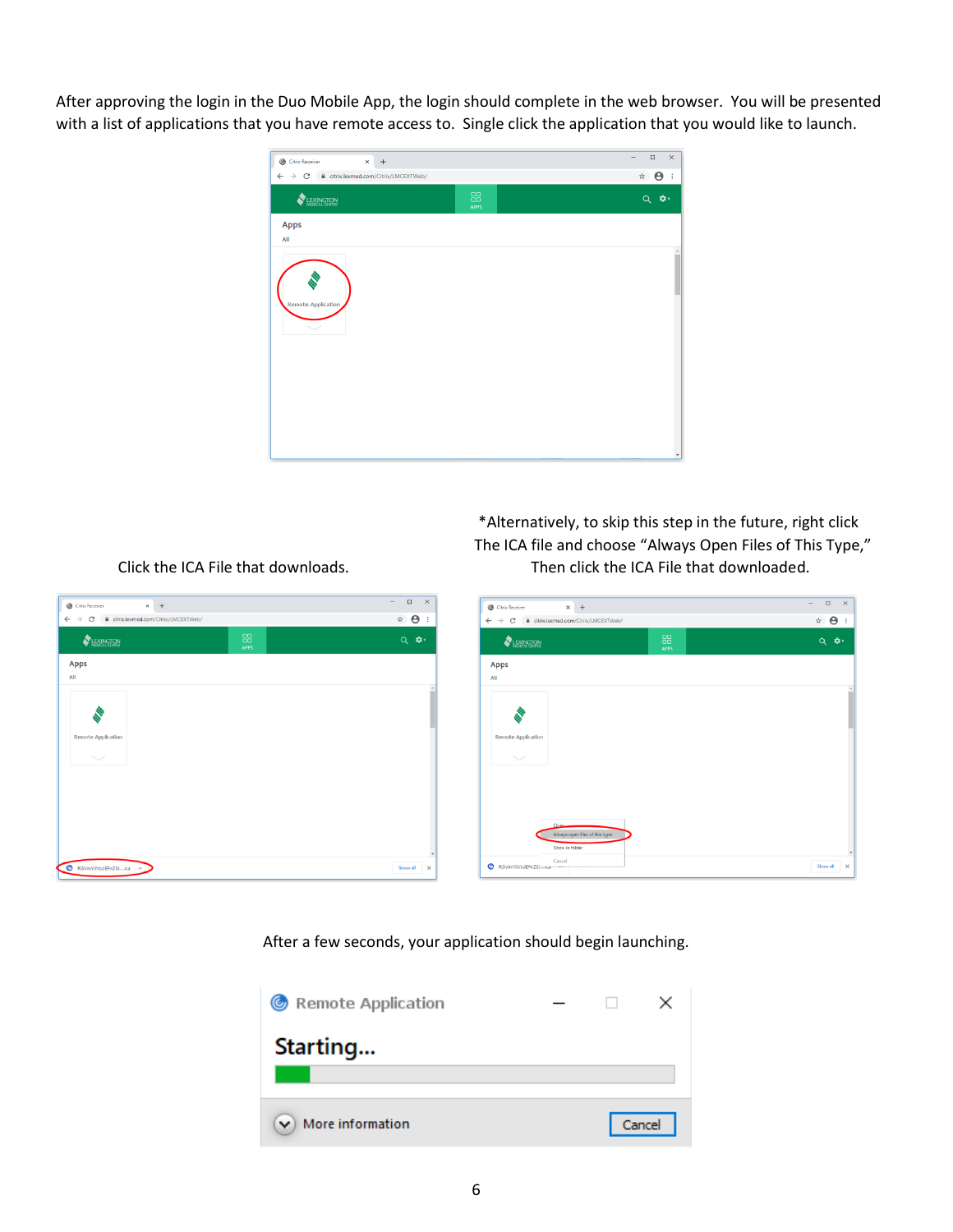After approving the login in the Duo Mobile App, the login should complete in the web browser. You will be presented with a list of applications that you have remote access to. Single click the application that you would like to launch.



 $\sqrt{2}$ 

 $\qquad \qquad \hat{H} = \frac{1}{2} \hat{H} + \frac{1}{2} \hat{H} + \frac{1}{2} \hat{H} + \frac{1}{2} \hat{H} + \frac{1}{2} \hat{H} + \frac{1}{2} \hat{H} + \frac{1}{2} \hat{H} + \frac{1}{2} \hat{H} + \frac{1}{2} \hat{H} + \frac{1}{2} \hat{H} + \frac{1}{2} \hat{H} + \frac{1}{2} \hat{H} + \frac{1}{2} \hat{H} + \frac{1}{2} \hat{H} + \frac{1}{2} \hat{H} + \frac{1}{2} \hat{H} +$ 

 \*Alternatively, to skip this step in the future, right click The ICA file and choose "Always Open Files of This Type,"

| <b>EXINGTON</b>    |                                         | 88<br><b>APPS</b> | $Q$ $\phi$ |
|--------------------|-----------------------------------------|-------------------|------------|
| <b>Apps</b><br>All |                                         |                   |            |
|                    |                                         |                   |            |
|                    |                                         |                   |            |
| Remote Application |                                         |                   |            |
|                    |                                         |                   |            |
|                    |                                         |                   |            |
|                    |                                         |                   |            |
|                    |                                         |                   |            |
|                    | Onen.<br>Always open files of this type |                   |            |

Click the ICA File that downloads. Then click the ICA File that downloaded.

After a few seconds, your application should begin launching.



 $\overline{\phantom{0}}$   $\overline{\phantom{0}}$  +

Citrix/LMCEXTWeb

Citrix Receiver  $\leftarrow$   $\rightarrow$  C  $\quad$  iii citrix.lexmed.com

Apps  $\overline{AB}$ 

LEXINGTON

RGVmYXVsdEFnZ3J....ica